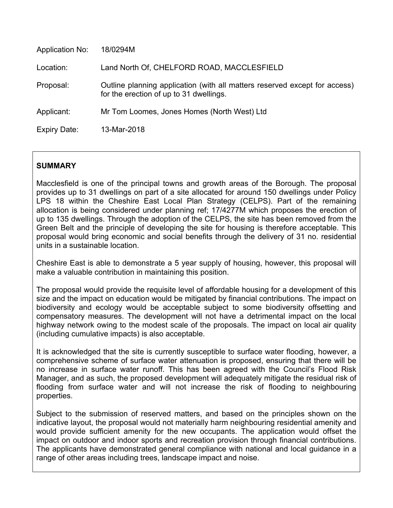| <b>Application No:</b> | 18/0294M                                                                                                              |
|------------------------|-----------------------------------------------------------------------------------------------------------------------|
| Location:              | Land North Of, CHELFORD ROAD, MACCLESFIELD                                                                            |
| Proposal:              | Outline planning application (with all matters reserved except for access)<br>for the erection of up to 31 dwellings. |
| Applicant:             | Mr Tom Loomes, Jones Homes (North West) Ltd                                                                           |
| Expiry Date:           | 13-Mar-2018                                                                                                           |

# **SUMMARY**

Macclesfield is one of the principal towns and growth areas of the Borough. The proposal provides up to 31 dwellings on part of a site allocated for around 150 dwellings under Policy LPS 18 within the Cheshire East Local Plan Strategy (CELPS). Part of the remaining allocation is being considered under planning ref; 17/4277M which proposes the erection of up to 135 dwellings. Through the adoption of the CELPS, the site has been removed from the Green Belt and the principle of developing the site for housing is therefore acceptable. This proposal would bring economic and social benefits through the delivery of 31 no. residential units in a sustainable location.

Cheshire East is able to demonstrate a 5 year supply of housing, however, this proposal will make a valuable contribution in maintaining this position.

The proposal would provide the requisite level of affordable housing for a development of this size and the impact on education would be mitigated by financial contributions. The impact on biodiversity and ecology would be acceptable subject to some biodiversity offsetting and compensatory measures. The development will not have a detrimental impact on the local highway network owing to the modest scale of the proposals. The impact on local air quality (including cumulative impacts) is also acceptable.

It is acknowledged that the site is currently susceptible to surface water flooding, however, a comprehensive scheme of surface water attenuation is proposed, ensuring that there will be no increase in surface water runoff. This has been agreed with the Council's Flood Risk Manager, and as such, the proposed development will adequately mitigate the residual risk of flooding from surface water and will not increase the risk of flooding to neighbouring properties.

Subject to the submission of reserved matters, and based on the principles shown on the indicative layout, the proposal would not materially harm neighbouring residential amenity and would provide sufficient amenity for the new occupants. The application would offset the impact on outdoor and indoor sports and recreation provision through financial contributions. The applicants have demonstrated general compliance with national and local guidance in a range of other areas including trees, landscape impact and noise.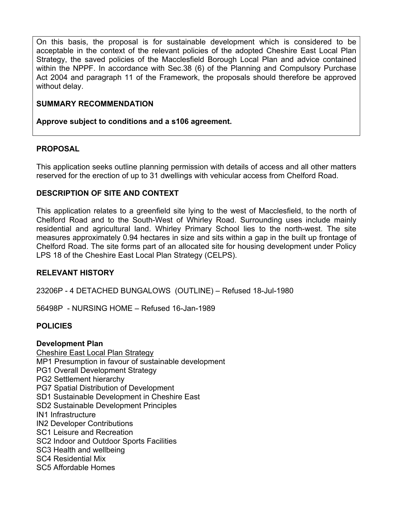On this basis, the proposal is for sustainable development which is considered to be acceptable in the context of the relevant policies of the adopted Cheshire East Local Plan Strategy, the saved policies of the Macclesfield Borough Local Plan and advice contained within the NPPF. In accordance with Sec.38 (6) of the Planning and Compulsory Purchase Act 2004 and paragraph 11 of the Framework, the proposals should therefore be approved without delay.

# **SUMMARY RECOMMENDATION**

**Approve subject to conditions and a s106 agreement.**

# **PROPOSAL**

This application seeks outline planning permission with details of access and all other matters reserved for the erection of up to 31 dwellings with vehicular access from Chelford Road.

# **DESCRIPTION OF SITE AND CONTEXT**

This application relates to a greenfield site lying to the west of Macclesfield, to the north of Chelford Road and to the South-West of Whirley Road. Surrounding uses include mainly residential and agricultural land. Whirley Primary School lies to the north-west. The site measures approximately 0.94 hectares in size and sits within a gap in the built up frontage of Chelford Road. The site forms part of an allocated site for housing development under Policy LPS 18 of the Cheshire East Local Plan Strategy (CELPS).

# **RELEVANT HISTORY**

23206P - 4 DETACHED BUNGALOWS (OUTLINE) – Refused 18-Jul-1980

56498P - NURSING HOME – Refused 16-Jan-1989

# **POLICIES**

# **Development Plan**

Cheshire East Local Plan Strategy MP1 Presumption in favour of sustainable development PG1 Overall Development Strategy PG2 Settlement hierarchy PG7 Spatial Distribution of Development SD1 Sustainable Development in Cheshire East SD2 Sustainable Development Principles IN1 Infrastructure IN2 Developer Contributions SC1 Leisure and Recreation SC2 Indoor and Outdoor Sports Facilities SC3 Health and wellbeing SC4 Residential Mix SC5 Affordable Homes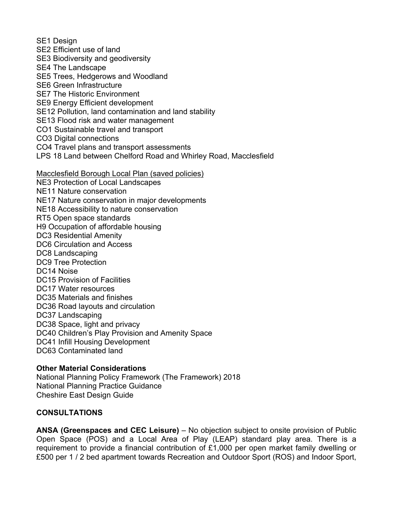SE1 Design SE2 Efficient use of land SE3 Biodiversity and geodiversity SE4 The Landscape SE5 Trees, Hedgerows and Woodland SE6 Green Infrastructure SE7 The Historic Environment SE9 Energy Efficient development SE12 Pollution, land contamination and land stability SE13 Flood risk and water management CO1 Sustainable travel and transport CO3 Digital connections CO4 Travel plans and transport assessments LPS 18 Land between Chelford Road and Whirley Road, Macclesfield Macclesfield Borough Local Plan (saved policies) NE3 Protection of Local Landscapes NE11 Nature conservation NE17 Nature conservation in major developments NE18 Accessibility to nature conservation RT5 Open space standards H9 Occupation of affordable housing DC3 Residential Amenity DC6 Circulation and Access DC8 Landscaping DC9 Tree Protection DC14 Noise DC15 Provision of Facilities DC17 Water resources DC35 Materials and finishes DC36 Road layouts and circulation DC37 Landscaping DC38 Space, light and privacy DC40 Children's Play Provision and Amenity Space DC41 Infill Housing Development DC63 Contaminated land

## **Other Material Considerations**

National Planning Policy Framework (The Framework) 2018 National Planning Practice Guidance Cheshire East Design Guide

## **CONSULTATIONS**

**ANSA (Greenspaces and CEC Leisure)** – No objection subject to onsite provision of Public Open Space (POS) and a Local Area of Play (LEAP) standard play area. There is a requirement to provide a financial contribution of £1,000 per open market family dwelling or £500 per 1 / 2 bed apartment towards Recreation and Outdoor Sport (ROS) and Indoor Sport,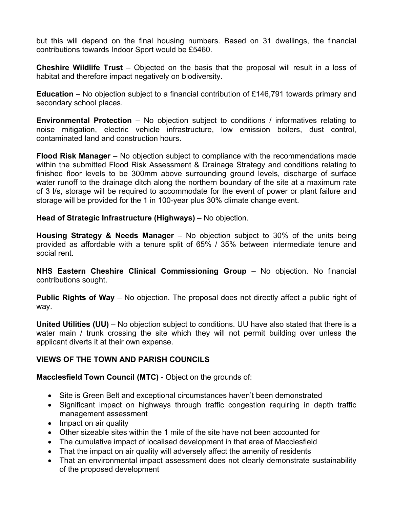but this will depend on the final housing numbers. Based on 31 dwellings, the financial contributions towards Indoor Sport would be £5460.

**Cheshire Wildlife Trust** – Objected on the basis that the proposal will result in a loss of habitat and therefore impact negatively on biodiversity.

**Education** – No objection subject to a financial contribution of £146,791 towards primary and secondary school places.

**Environmental Protection** – No objection subject to conditions / informatives relating to noise mitigation, electric vehicle infrastructure, low emission boilers, dust control, contaminated land and construction hours.

**Flood Risk Manager** – No objection subject to compliance with the recommendations made within the submitted Flood Risk Assessment & Drainage Strategy and conditions relating to finished floor levels to be 300mm above surrounding ground levels, discharge of surface water runoff to the drainage ditch along the northern boundary of the site at a maximum rate of 3 l/s, storage will be required to accommodate for the event of power or plant failure and storage will be provided for the 1 in 100-year plus 30% climate change event.

**Head of Strategic Infrastructure (Highways)** – No objection.

**Housing Strategy & Needs Manager** – No objection subject to 30% of the units being provided as affordable with a tenure split of 65% / 35% between intermediate tenure and social rent.

**NHS Eastern Cheshire Clinical Commissioning Group** – No objection. No financial contributions sought.

**Public Rights of Way** – No objection. The proposal does not directly affect a public right of way.

**United Utilities (UU)** – No objection subject to conditions. UU have also stated that there is a water main / trunk crossing the site which they will not permit building over unless the applicant diverts it at their own expense.

# **VIEWS OF THE TOWN AND PARISH COUNCILS**

**Macclesfield Town Council (MTC)** - Object on the grounds of:

- Site is Green Belt and exceptional circumstances haven't been demonstrated
- Significant impact on highways through traffic congestion requiring in depth traffic management assessment
- Impact on air quality
- Other sizeable sites within the 1 mile of the site have not been accounted for
- The cumulative impact of localised development in that area of Macclesfield
- That the impact on air quality will adversely affect the amenity of residents
- That an environmental impact assessment does not clearly demonstrate sustainability of the proposed development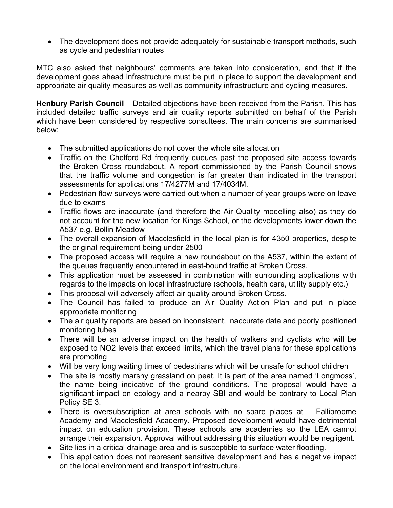The development does not provide adequately for sustainable transport methods, such as cycle and pedestrian routes

MTC also asked that neighbours' comments are taken into consideration, and that if the development goes ahead infrastructure must be put in place to support the development and appropriate air quality measures as well as community infrastructure and cycling measures.

**Henbury Parish Council** – Detailed objections have been received from the Parish. This has included detailed traffic surveys and air quality reports submitted on behalf of the Parish which have been considered by respective consultees. The main concerns are summarised below:

- The submitted applications do not cover the whole site allocation
- Traffic on the Chelford Rd frequently queues past the proposed site access towards the Broken Cross roundabout. A report commissioned by the Parish Council shows that the traffic volume and congestion is far greater than indicated in the transport assessments for applications 17/4277M and 17/4034M.
- Pedestrian flow surveys were carried out when a number of year groups were on leave due to exams
- Traffic flows are inaccurate (and therefore the Air Quality modelling also) as they do not account for the new location for Kings School, or the developments lower down the A537 e.g. Bollin Meadow
- The overall expansion of Macclesfield in the local plan is for 4350 properties, despite the original requirement being under 2500
- The proposed access will require a new roundabout on the A537, within the extent of the queues frequently encountered in east-bound traffic at Broken Cross.
- This application must be assessed in combination with surrounding applications with regards to the impacts on local infrastructure (schools, health care, utility supply etc.)
- This proposal will adversely affect air quality around Broken Cross.
- The Council has failed to produce an Air Quality Action Plan and put in place appropriate monitoring
- The air quality reports are based on inconsistent, inaccurate data and poorly positioned monitoring tubes
- There will be an adverse impact on the health of walkers and cyclists who will be exposed to NO2 levels that exceed limits, which the travel plans for these applications are promoting
- Will be very long waiting times of pedestrians which will be unsafe for school children
- The site is mostly marshy grassland on peat. It is part of the area named 'Longmoss', the name being indicative of the ground conditions. The proposal would have a significant impact on ecology and a nearby SBI and would be contrary to Local Plan Policy SE 3.
- There is oversubscription at area schools with no spare places at Fallibroome Academy and Macclesfield Academy. Proposed development would have detrimental impact on education provision. These schools are academies so the LEA cannot arrange their expansion. Approval without addressing this situation would be negligent.
- Site lies in a critical drainage area and is susceptible to surface water flooding.
- This application does not represent sensitive development and has a negative impact on the local environment and transport infrastructure.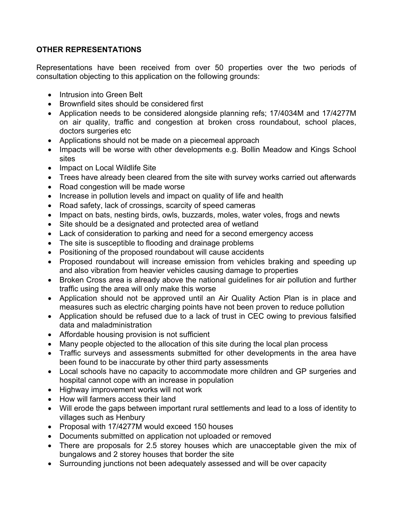# **OTHER REPRESENTATIONS**

Representations have been received from over 50 properties over the two periods of consultation objecting to this application on the following grounds:

- Intrusion into Green Belt
- Brownfield sites should be considered first
- Application needs to be considered alongside planning refs; 17/4034M and 17/4277M on air quality, traffic and congestion at broken cross roundabout, school places, doctors surgeries etc
- Applications should not be made on a piecemeal approach
- Impacts will be worse with other developments e.g. Bollin Meadow and Kings School sites
- Impact on Local Wildlife Site
- Trees have already been cleared from the site with survey works carried out afterwards
- Road congestion will be made worse
- Increase in pollution levels and impact on quality of life and health
- Road safety, lack of crossings, scarcity of speed cameras
- Impact on bats, nesting birds, owls, buzzards, moles, water voles, frogs and newts
- Site should be a designated and protected area of wetland
- Lack of consideration to parking and need for a second emergency access
- The site is susceptible to flooding and drainage problems
- Positioning of the proposed roundabout will cause accidents
- Proposed roundabout will increase emission from vehicles braking and speeding up and also vibration from heavier vehicles causing damage to properties
- Broken Cross area is already above the national quidelines for air pollution and further traffic using the area will only make this worse
- Application should not be approved until an Air Quality Action Plan is in place and measures such as electric charging points have not been proven to reduce pollution
- Application should be refused due to a lack of trust in CEC owing to previous falsified data and maladministration
- Affordable housing provision is not sufficient
- Many people objected to the allocation of this site during the local plan process
- Traffic surveys and assessments submitted for other developments in the area have been found to be inaccurate by other third party assessments
- Local schools have no capacity to accommodate more children and GP surgeries and hospital cannot cope with an increase in population
- Highway improvement works will not work
- How will farmers access their land
- Will erode the gaps between important rural settlements and lead to a loss of identity to villages such as Henbury
- Proposal with 17/4277M would exceed 150 houses
- Documents submitted on application not uploaded or removed
- There are proposals for 2.5 storey houses which are unacceptable given the mix of bungalows and 2 storey houses that border the site
- Surrounding junctions not been adequately assessed and will be over capacity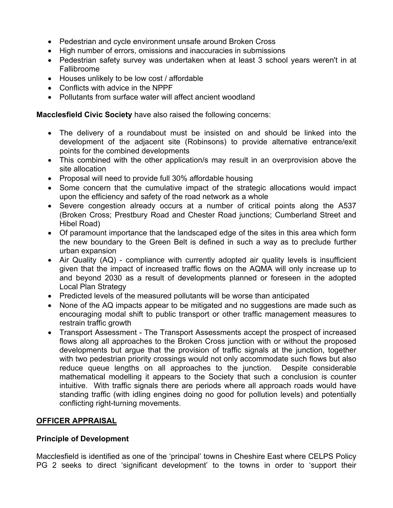- Pedestrian and cycle environment unsafe around Broken Cross
- High number of errors, omissions and inaccuracies in submissions
- Pedestrian safety survey was undertaken when at least 3 school years weren't in at Fallibroome
- Houses unlikely to be low cost / affordable
- Conflicts with advice in the NPPF
- Pollutants from surface water will affect ancient woodland

**Macclesfield Civic Society** have also raised the following concerns:

- The delivery of a roundabout must be insisted on and should be linked into the development of the adjacent site (Robinsons) to provide alternative entrance/exit points for the combined developments
- This combined with the other application/s may result in an overprovision above the site allocation
- Proposal will need to provide full 30% affordable housing
- Some concern that the cumulative impact of the strategic allocations would impact upon the efficiency and safety of the road network as a whole
- Severe congestion already occurs at a number of critical points along the A537 (Broken Cross; Prestbury Road and Chester Road junctions; Cumberland Street and Hibel Road)
- Of paramount importance that the landscaped edge of the sites in this area which form the new boundary to the Green Belt is defined in such a way as to preclude further urban expansion
- Air Quality (AQ) compliance with currently adopted air quality levels is insufficient given that the impact of increased traffic flows on the AQMA will only increase up to and beyond 2030 as a result of developments planned or foreseen in the adopted Local Plan Strategy
- Predicted levels of the measured pollutants will be worse than anticipated
- None of the AQ impacts appear to be mitigated and no suggestions are made such as encouraging modal shift to public transport or other traffic management measures to restrain traffic growth
- Transport Assessment The Transport Assessments accept the prospect of increased flows along all approaches to the Broken Cross junction with or without the proposed developments but argue that the provision of traffic signals at the junction, together with two pedestrian priority crossings would not only accommodate such flows but also reduce queue lengths on all approaches to the junction. Despite considerable mathematical modelling it appears to the Society that such a conclusion is counter intuitive. With traffic signals there are periods where all approach roads would have standing traffic (with idling engines doing no good for pollution levels) and potentially conflicting right-turning movements.

## **OFFICER APPRAISAL**

## **Principle of Development**

Macclesfield is identified as one of the 'principal' towns in Cheshire East where CELPS Policy PG 2 seeks to direct 'significant development' to the towns in order to 'support their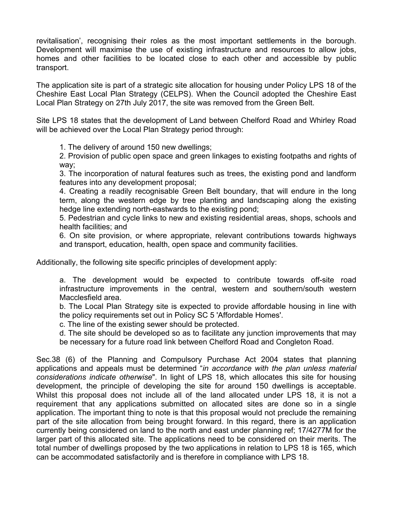revitalisation', recognising their roles as the most important settlements in the borough. Development will maximise the use of existing infrastructure and resources to allow jobs, homes and other facilities to be located close to each other and accessible by public transport.

The application site is part of a strategic site allocation for housing under Policy LPS 18 of the Cheshire East Local Plan Strategy (CELPS). When the Council adopted the Cheshire East Local Plan Strategy on 27th July 2017, the site was removed from the Green Belt.

Site LPS 18 states that the development of Land between Chelford Road and Whirley Road will be achieved over the Local Plan Strategy period through:

1. The delivery of around 150 new dwellings;

2. Provision of public open space and green linkages to existing footpaths and rights of way;

3. The incorporation of natural features such as trees, the existing pond and landform features into any development proposal;

4. Creating a readily recognisable Green Belt boundary, that will endure in the long term, along the western edge by tree planting and landscaping along the existing hedge line extending north-eastwards to the existing pond;

5. Pedestrian and cycle links to new and existing residential areas, shops, schools and health facilities; and

6. On site provision, or where appropriate, relevant contributions towards highways and transport, education, health, open space and community facilities.

Additionally, the following site specific principles of development apply:

a. The development would be expected to contribute towards off-site road infrastructure improvements in the central, western and southern/south western Macclesfield area.

b. The Local Plan Strategy site is expected to provide affordable housing in line with the policy requirements set out in Policy SC 5 'Affordable Homes'.

c. The line of the existing sewer should be protected.

d. The site should be developed so as to facilitate any junction improvements that may be necessary for a future road link between Chelford Road and Congleton Road.

Sec.38 (6) of the Planning and Compulsory Purchase Act 2004 states that planning applications and appeals must be determined "*in accordance with the plan unless material considerations indicate otherwise*". In light of LPS 18, which allocates this site for housing development, the principle of developing the site for around 150 dwellings is acceptable. Whilst this proposal does not include all of the land allocated under LPS 18, it is not a requirement that any applications submitted on allocated sites are done so in a single application. The important thing to note is that this proposal would not preclude the remaining part of the site allocation from being brought forward. In this regard, there is an application currently being considered on land to the north and east under planning ref; 17/4277M for the larger part of this allocated site. The applications need to be considered on their merits. The total number of dwellings proposed by the two applications in relation to LPS 18 is 165, which can be accommodated satisfactorily and is therefore in compliance with LPS 18.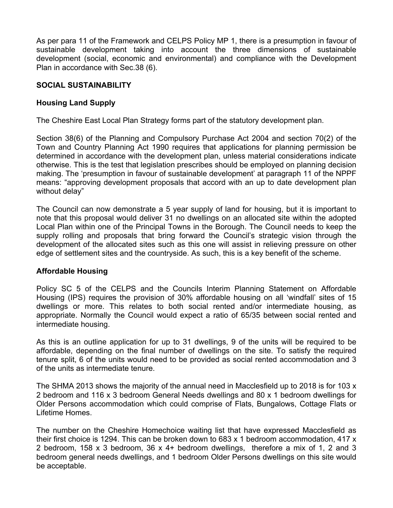As per para 11 of the Framework and CELPS Policy MP 1, there is a presumption in favour of sustainable development taking into account the three dimensions of sustainable development (social, economic and environmental) and compliance with the Development Plan in accordance with Sec.38 (6).

## **SOCIAL SUSTAINABILITY**

## **Housing Land Supply**

The Cheshire East Local Plan Strategy forms part of the statutory development plan.

Section 38(6) of the Planning and Compulsory Purchase Act 2004 and section 70(2) of the Town and Country Planning Act 1990 requires that applications for planning permission be determined in accordance with the development plan, unless material considerations indicate otherwise. This is the test that legislation prescribes should be employed on planning decision making. The 'presumption in favour of sustainable development' at paragraph 11 of the NPPF means: "approving development proposals that accord with an up to date development plan without delay"

The Council can now demonstrate a 5 year supply of land for housing, but it is important to note that this proposal would deliver 31 no dwellings on an allocated site within the adopted Local Plan within one of the Principal Towns in the Borough. The Council needs to keep the supply rolling and proposals that bring forward the Council's strategic vision through the development of the allocated sites such as this one will assist in relieving pressure on other edge of settlement sites and the countryside. As such, this is a key benefit of the scheme.

## **Affordable Housing**

Policy SC 5 of the CELPS and the Councils Interim Planning Statement on Affordable Housing (IPS) requires the provision of 30% affordable housing on all 'windfall' sites of 15 dwellings or more. This relates to both social rented and/or intermediate housing, as appropriate. Normally the Council would expect a ratio of 65/35 between social rented and intermediate housing.

As this is an outline application for up to 31 dwellings, 9 of the units will be required to be affordable, depending on the final number of dwellings on the site. To satisfy the required tenure split, 6 of the units would need to be provided as social rented accommodation and 3 of the units as intermediate tenure.

The SHMA 2013 shows the majority of the annual need in Macclesfield up to 2018 is for 103 x 2 bedroom and 116 x 3 bedroom General Needs dwellings and 80 x 1 bedroom dwellings for Older Persons accommodation which could comprise of Flats, Bungalows, Cottage Flats or Lifetime Homes.

The number on the Cheshire Homechoice waiting list that have expressed Macclesfield as their first choice is 1294. This can be broken down to 683 x 1 bedroom accommodation, 417 x 2 bedroom, 158 x 3 bedroom, 36 x 4+ bedroom dwellings, therefore a mix of 1, 2 and 3 bedroom general needs dwellings, and 1 bedroom Older Persons dwellings on this site would be acceptable.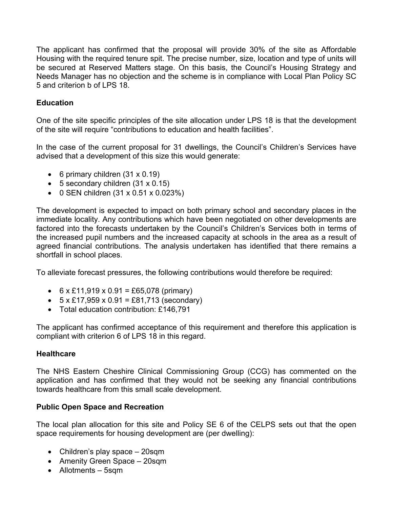The applicant has confirmed that the proposal will provide 30% of the site as Affordable Housing with the required tenure spit. The precise number, size, location and type of units will be secured at Reserved Matters stage. On this basis, the Council's Housing Strategy and Needs Manager has no objection and the scheme is in compliance with Local Plan Policy SC 5 and criterion b of LPS 18.

## **Education**

One of the site specific principles of the site allocation under LPS 18 is that the development of the site will require "contributions to education and health facilities".

In the case of the current proposal for 31 dwellings, the Council's Children's Services have advised that a development of this size this would generate:

- 6 primary children  $(31 \times 0.19)$
- $\bullet$  5 secondary children (31 x 0.15)
- 0 SEN children (31 x 0.51 x 0.023%)

The development is expected to impact on both primary school and secondary places in the immediate locality. Any contributions which have been negotiated on other developments are factored into the forecasts undertaken by the Council's Children's Services both in terms of the increased pupil numbers and the increased capacity at schools in the area as a result of agreed financial contributions. The analysis undertaken has identified that there remains a shortfall in school places.

To alleviate forecast pressures, the following contributions would therefore be required:

- 6  $\times$  £11,919  $\times$  0.91 = £65,078 (primary)
- $\bullet$  5 x £17,959 x 0.91 = £81,713 (secondary)
- Total education contribution: £146,791

The applicant has confirmed acceptance of this requirement and therefore this application is compliant with criterion 6 of LPS 18 in this regard.

## **Healthcare**

The NHS Eastern Cheshire Clinical Commissioning Group (CCG) has commented on the application and has confirmed that they would not be seeking any financial contributions towards healthcare from this small scale development.

# **Public Open Space and Recreation**

The local plan allocation for this site and Policy SE 6 of the CELPS sets out that the open space requirements for housing development are (per dwelling):

- Children's play space 20sqm
- Amenity Green Space 20sqm
- Allotments 5sqm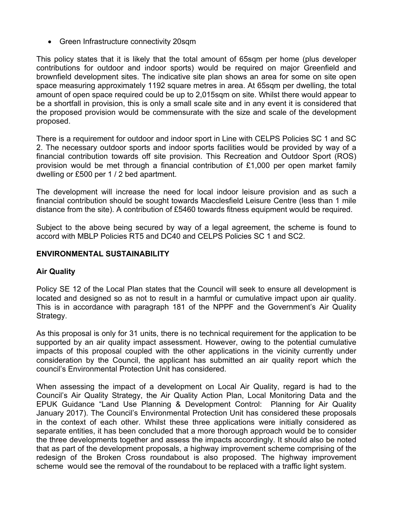Green Infrastructure connectivity 20sqm

This policy states that it is likely that the total amount of 65sqm per home (plus developer contributions for outdoor and indoor sports) would be required on major Greenfield and brownfield development sites. The indicative site plan shows an area for some on site open space measuring approximately 1192 square metres in area. At 65sqm per dwelling, the total amount of open space required could be up to 2,015sqm on site. Whilst there would appear to be a shortfall in provision, this is only a small scale site and in any event it is considered that the proposed provision would be commensurate with the size and scale of the development proposed.

There is a requirement for outdoor and indoor sport in Line with CELPS Policies SC 1 and SC 2. The necessary outdoor sports and indoor sports facilities would be provided by way of a financial contribution towards off site provision. This Recreation and Outdoor Sport (ROS) provision would be met through a financial contribution of £1,000 per open market family dwelling or £500 per 1 / 2 bed apartment.

The development will increase the need for local indoor leisure provision and as such a financial contribution should be sought towards Macclesfield Leisure Centre (less than 1 mile distance from the site). A contribution of £5460 towards fitness equipment would be required.

Subject to the above being secured by way of a legal agreement, the scheme is found to accord with MBLP Policies RT5 and DC40 and CELPS Policies SC 1 and SC2.

## **ENVIRONMENTAL SUSTAINABILITY**

## **Air Quality**

Policy SE 12 of the Local Plan states that the Council will seek to ensure all development is located and designed so as not to result in a harmful or cumulative impact upon air quality. This is in accordance with paragraph 181 of the NPPF and the Government's Air Quality Strategy.

As this proposal is only for 31 units, there is no technical requirement for the application to be supported by an air quality impact assessment. However, owing to the potential cumulative impacts of this proposal coupled with the other applications in the vicinity currently under consideration by the Council, the applicant has submitted an air quality report which the council's Environmental Protection Unit has considered.

When assessing the impact of a development on Local Air Quality, regard is had to the Council's Air Quality Strategy, the Air Quality Action Plan, Local Monitoring Data and the EPUK Guidance "Land Use Planning & Development Control: Planning for Air Quality January 2017). The Council's Environmental Protection Unit has considered these proposals in the context of each other. Whilst these three applications were initially considered as separate entities, it has been concluded that a more thorough approach would be to consider the three developments together and assess the impacts accordingly. It should also be noted that as part of the development proposals, a highway improvement scheme comprising of the redesign of the Broken Cross roundabout is also proposed. The highway improvement scheme would see the removal of the roundabout to be replaced with a traffic light system.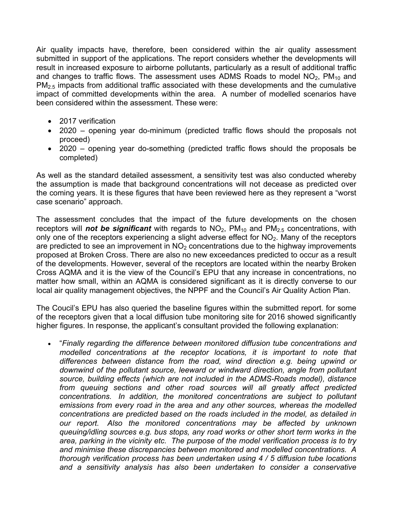Air quality impacts have, therefore, been considered within the air quality assessment submitted in support of the applications. The report considers whether the developments will result in increased exposure to airborne pollutants, particularly as a result of additional traffic and changes to traffic flows. The assessment uses ADMS Roads to model  $NO<sub>2</sub>$ ,  $PM<sub>10</sub>$  and  $PM<sub>2.5</sub>$  impacts from additional traffic associated with these developments and the cumulative impact of committed developments within the area. A number of modelled scenarios have been considered within the assessment. These were:

- 2017 verification
- 2020 opening year do-minimum (predicted traffic flows should the proposals not proceed)
- 2020 opening year do-something (predicted traffic flows should the proposals be completed)

As well as the standard detailed assessment, a sensitivity test was also conducted whereby the assumption is made that background concentrations will not decease as predicted over the coming years. It is these figures that have been reviewed here as they represent a "worst case scenario" approach.

The assessment concludes that the impact of the future developments on the chosen receptors will *not be significant* with regards to NO<sub>2</sub>, PM<sub>10</sub> and PM<sub>2.5</sub> concentrations, with only one of the receptors experiencing a slight adverse effect for  $NO<sub>2</sub>$ . Many of the receptors are predicted to see an improvement in  $NO<sub>2</sub>$  concentrations due to the highway improvements proposed at Broken Cross. There are also no new exceedances predicted to occur as a result of the developments. However, several of the receptors are located within the nearby Broken Cross AQMA and it is the view of the Council's EPU that any increase in concentrations, no matter how small, within an AQMA is considered significant as it is directly converse to our local air quality management objectives, the NPPF and the Council's Air Quality Action Plan.

The Coucil's EPU has also queried the baseline figures within the submitted report. for some of the receptors given that a local diffusion tube monitoring site for 2016 showed significantly higher figures. In response, the applicant's consultant provided the following explanation:

 "*Finally regarding the difference between monitored diffusion tube concentrations and modelled concentrations at the receptor locations, it is important to note that differences between distance from the road, wind direction e.g. being upwind or downwind of the pollutant source, leeward or windward direction, angle from pollutant source, building effects (which are not included in the ADMS-Roads model), distance from queuing sections and other road sources will all greatly affect predicted concentrations. In addition, the monitored concentrations are subject to pollutant emissions from every road in the area and any other sources, whereas the modelled concentrations are predicted based on the roads included in the model, as detailed in our report. Also the monitored concentrations may be affected by unknown queuing/idling sources e.g. bus stops, any road works or other short term works in the area, parking in the vicinity etc. The purpose of the model verification process is to try and minimise these discrepancies between monitored and modelled concentrations. A thorough verification process has been undertaken using 4 / 5 diffusion tube locations and a sensitivity analysis has also been undertaken to consider a conservative*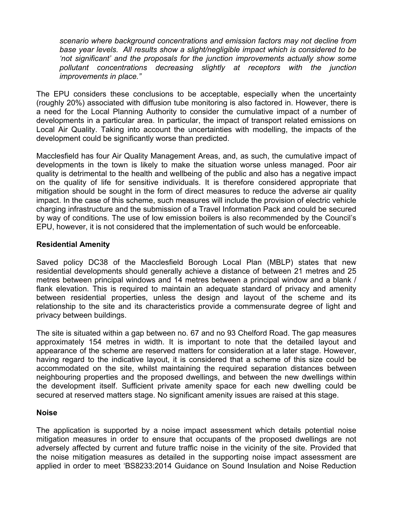*scenario where background concentrations and emission factors may not decline from base year levels. All results show a slight/negligible impact which is considered to be 'not significant' and the proposals for the junction improvements actually show some pollutant concentrations decreasing slightly at receptors with the junction improvements in place."*

The EPU considers these conclusions to be acceptable, especially when the uncertainty (roughly 20%) associated with diffusion tube monitoring is also factored in. However, there is a need for the Local Planning Authority to consider the cumulative impact of a number of developments in a particular area. In particular, the impact of transport related emissions on Local Air Quality. Taking into account the uncertainties with modelling, the impacts of the development could be significantly worse than predicted.

Macclesfield has four Air Quality Management Areas, and, as such, the cumulative impact of developments in the town is likely to make the situation worse unless managed. Poor air quality is detrimental to the health and wellbeing of the public and also has a negative impact on the quality of life for sensitive individuals. It is therefore considered appropriate that mitigation should be sought in the form of direct measures to reduce the adverse air quality impact. In the case of this scheme, such measures will include the provision of electric vehicle charging infrastructure and the submission of a Travel Information Pack and could be secured by way of conditions. The use of low emission boilers is also recommended by the Council's EPU, however, it is not considered that the implementation of such would be enforceable.

## **Residential Amenity**

Saved policy DC38 of the Macclesfield Borough Local Plan (MBLP) states that new residential developments should generally achieve a distance of between 21 metres and 25 metres between principal windows and 14 metres between a principal window and a blank / flank elevation. This is required to maintain an adequate standard of privacy and amenity between residential properties, unless the design and layout of the scheme and its relationship to the site and its characteristics provide a commensurate degree of light and privacy between buildings.

The site is situated within a gap between no. 67 and no 93 Chelford Road. The gap measures approximately 154 metres in width. It is important to note that the detailed layout and appearance of the scheme are reserved matters for consideration at a later stage. However, having regard to the indicative layout, it is considered that a scheme of this size could be accommodated on the site, whilst maintaining the required separation distances between neighbouring properties and the proposed dwellings, and between the new dwellings within the development itself. Sufficient private amenity space for each new dwelling could be secured at reserved matters stage. No significant amenity issues are raised at this stage.

## **Noise**

The application is supported by a noise impact assessment which details potential noise mitigation measures in order to ensure that occupants of the proposed dwellings are not adversely affected by current and future traffic noise in the vicinity of the site. Provided that the noise mitigation measures as detailed in the supporting noise impact assessment are applied in order to meet 'BS8233:2014 Guidance on Sound Insulation and Noise Reduction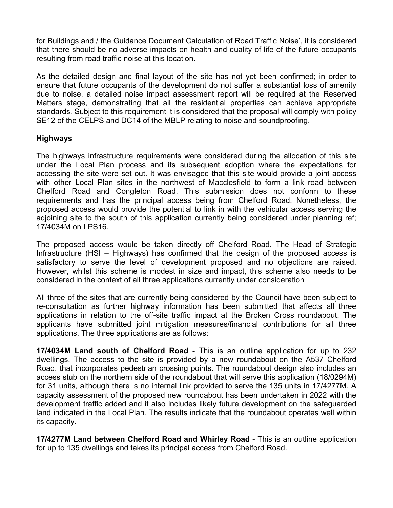for Buildings and / the Guidance Document Calculation of Road Traffic Noise', it is considered that there should be no adverse impacts on health and quality of life of the future occupants resulting from road traffic noise at this location.

As the detailed design and final layout of the site has not yet been confirmed; in order to ensure that future occupants of the development do not suffer a substantial loss of amenity due to noise, a detailed noise impact assessment report will be required at the Reserved Matters stage, demonstrating that all the residential properties can achieve appropriate standards. Subject to this requirement it is considered that the proposal will comply with policy SE12 of the CELPS and DC14 of the MBLP relating to noise and soundproofing.

## **Highways**

The highways infrastructure requirements were considered during the allocation of this site under the Local Plan process and its subsequent adoption where the expectations for accessing the site were set out. It was envisaged that this site would provide a joint access with other Local Plan sites in the northwest of Macclesfield to form a link road between Chelford Road and Congleton Road. This submission does not conform to these requirements and has the principal access being from Chelford Road. Nonetheless, the proposed access would provide the potential to link in with the vehicular access serving the adjoining site to the south of this application currently being considered under planning ref; 17/4034M on LPS16.

The proposed access would be taken directly off Chelford Road. The Head of Strategic Infrastructure (HSI – Highways) has confirmed that the design of the proposed access is satisfactory to serve the level of development proposed and no objections are raised. However, whilst this scheme is modest in size and impact, this scheme also needs to be considered in the context of all three applications currently under consideration

All three of the sites that are currently being considered by the Council have been subject to re-consultation as further highway information has been submitted that affects all three applications in relation to the off-site traffic impact at the Broken Cross roundabout. The applicants have submitted joint mitigation measures/financial contributions for all three applications. The three applications are as follows:

**17/4034M Land south of Chelford Road** - This is an outline application for up to 232 dwellings. The access to the site is provided by a new roundabout on the A537 Chelford Road, that incorporates pedestrian crossing points. The roundabout design also includes an access stub on the northern side of the roundabout that will serve this application (18/0294M) for 31 units, although there is no internal link provided to serve the 135 units in 17/4277M. A capacity assessment of the proposed new roundabout has been undertaken in 2022 with the development traffic added and it also includes likely future development on the safeguarded land indicated in the Local Plan. The results indicate that the roundabout operates well within its capacity.

**17/4277M Land between Chelford Road and Whirley Road** - This is an outline application for up to 135 dwellings and takes its principal access from Chelford Road.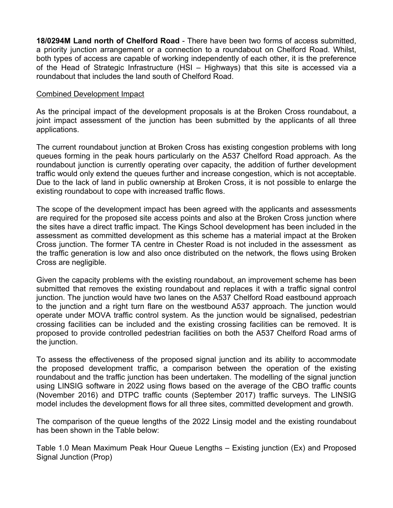**18/0294M Land north of Chelford Road** - There have been two forms of access submitted, a priority junction arrangement or a connection to a roundabout on Chelford Road. Whilst, both types of access are capable of working independently of each other, it is the preference of the Head of Strategic Infrastructure (HSI – Highways) that this site is accessed via a roundabout that includes the land south of Chelford Road.

#### Combined Development Impact

As the principal impact of the development proposals is at the Broken Cross roundabout, a joint impact assessment of the junction has been submitted by the applicants of all three applications.

The current roundabout junction at Broken Cross has existing congestion problems with long queues forming in the peak hours particularly on the A537 Chelford Road approach. As the roundabout junction is currently operating over capacity, the addition of further development traffic would only extend the queues further and increase congestion, which is not acceptable. Due to the lack of land in public ownership at Broken Cross, it is not possible to enlarge the existing roundabout to cope with increased traffic flows.

The scope of the development impact has been agreed with the applicants and assessments are required for the proposed site access points and also at the Broken Cross junction where the sites have a direct traffic impact. The Kings School development has been included in the assessment as committed development as this scheme has a material impact at the Broken Cross junction. The former TA centre in Chester Road is not included in the assessment as the traffic generation is low and also once distributed on the network, the flows using Broken Cross are negligible.

Given the capacity problems with the existing roundabout, an improvement scheme has been submitted that removes the existing roundabout and replaces it with a traffic signal control junction. The junction would have two lanes on the A537 Chelford Road eastbound approach to the junction and a right turn flare on the westbound A537 approach. The junction would operate under MOVA traffic control system. As the junction would be signalised, pedestrian crossing facilities can be included and the existing crossing facilities can be removed. It is proposed to provide controlled pedestrian facilities on both the A537 Chelford Road arms of the junction.

To assess the effectiveness of the proposed signal junction and its ability to accommodate the proposed development traffic, a comparison between the operation of the existing roundabout and the traffic junction has been undertaken. The modelling of the signal junction using LINSIG software in 2022 using flows based on the average of the CBO traffic counts (November 2016) and DTPC traffic counts (September 2017) traffic surveys. The LINSIG model includes the development flows for all three sites, committed development and growth.

The comparison of the queue lengths of the 2022 Linsig model and the existing roundabout has been shown in the Table below:

Table 1.0 Mean Maximum Peak Hour Queue Lengths – Existing junction (Ex) and Proposed Signal Junction (Prop)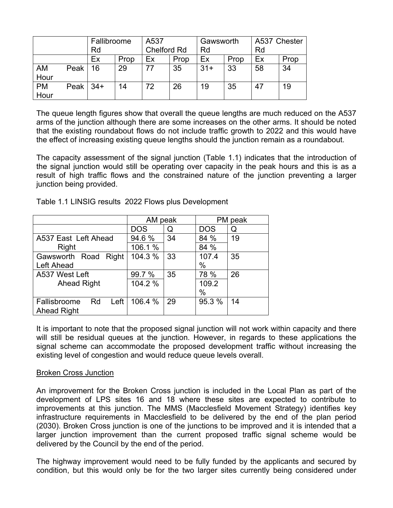|                   | Fallibroome |       | A537 |                    | Gawsworth |       | A537 Chester |    |      |
|-------------------|-------------|-------|------|--------------------|-----------|-------|--------------|----|------|
|                   |             | Rd    |      | <b>Chelford Rd</b> |           | Rd    |              | Rd |      |
|                   |             | Ex    | Prop | Ex                 | Prop      | Ex    | Prop         | Ex | Prop |
| AM<br>Hour        | Peak        | 16    | 29   |                    | 35        | $31+$ | 33           | 58 | 34   |
| <b>PM</b><br>Hour | Peak $ $    | $34+$ | 14   | 72                 | 26        | 19    | 35           | 47 | 19   |

The queue length figures show that overall the queue lengths are much reduced on the A537 arms of the junction although there are some increases on the other arms. It should be noted that the existing roundabout flows do not include traffic growth to 2022 and this would have the effect of increasing existing queue lengths should the junction remain as a roundabout.

The capacity assessment of the signal junction (Table 1.1) indicates that the introduction of the signal junction would still be operating over capacity in the peak hours and this is as a result of high traffic flows and the constrained nature of the junction preventing a larger junction being provided.

|                            | AM peak    |    |            | PM peak |
|----------------------------|------------|----|------------|---------|
|                            | <b>DOS</b> | Q  | <b>DOS</b> | Q       |
| A537 East Left Ahead       | 94.6 %     | 34 | 84 %       | 19      |
| Right                      | 106.1 %    |    | 84 %       |         |
| Gawsworth Road Right       | 104.3 %    | 33 | 107.4      | 35      |
| Left Ahead                 |            |    | %          |         |
| A537 West Left             | 99.7 %     | 35 | 78 %       | 26      |
| <b>Ahead Right</b>         | 104.2 %    |    | 109.2      |         |
|                            |            |    | %          |         |
| Left<br>Rd<br>Fallisbroome | 106.4 %    | 29 | 95.3 %     | 14      |
| <b>Ahead Right</b>         |            |    |            |         |

Table 1.1 LINSIG results 2022 Flows plus Development

It is important to note that the proposed signal junction will not work within capacity and there will still be residual queues at the junction. However, in regards to these applications the signal scheme can accommodate the proposed development traffic without increasing the existing level of congestion and would reduce queue levels overall.

## Broken Cross Junction

An improvement for the Broken Cross junction is included in the Local Plan as part of the development of LPS sites 16 and 18 where these sites are expected to contribute to improvements at this junction. The MMS (Macclesfield Movement Strategy) identifies key infrastructure requirements in Macclesfield to be delivered by the end of the plan period (2030). Broken Cross junction is one of the junctions to be improved and it is intended that a larger junction improvement than the current proposed traffic signal scheme would be delivered by the Council by the end of the period.

The highway improvement would need to be fully funded by the applicants and secured by condition, but this would only be for the two larger sites currently being considered under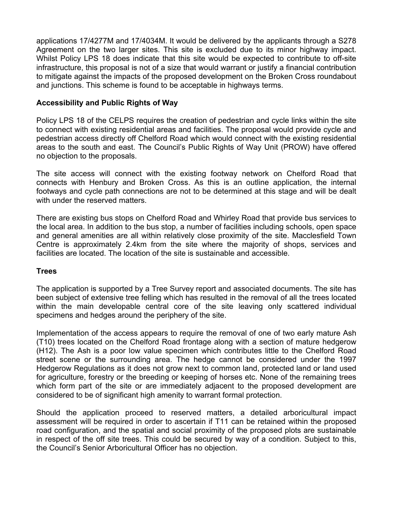applications 17/4277M and 17/4034M. It would be delivered by the applicants through a S278 Agreement on the two larger sites. This site is excluded due to its minor highway impact. Whilst Policy LPS 18 does indicate that this site would be expected to contribute to off-site infrastructure, this proposal is not of a size that would warrant or justify a financial contribution to mitigate against the impacts of the proposed development on the Broken Cross roundabout and junctions. This scheme is found to be acceptable in highways terms.

## **Accessibility and Public Rights of Way**

Policy LPS 18 of the CELPS requires the creation of pedestrian and cycle links within the site to connect with existing residential areas and facilities. The proposal would provide cycle and pedestrian access directly off Chelford Road which would connect with the existing residential areas to the south and east. The Council's Public Rights of Way Unit (PROW) have offered no objection to the proposals.

The site access will connect with the existing footway network on Chelford Road that connects with Henbury and Broken Cross. As this is an outline application, the internal footways and cycle path connections are not to be determined at this stage and will be dealt with under the reserved matters.

There are existing bus stops on Chelford Road and Whirley Road that provide bus services to the local area. In addition to the bus stop, a number of facilities including schools, open space and general amenities are all within relatively close proximity of the site. Macclesfield Town Centre is approximately 2.4km from the site where the majority of shops, services and facilities are located. The location of the site is sustainable and accessible.

## **Trees**

The application is supported by a Tree Survey report and associated documents. The site has been subject of extensive tree felling which has resulted in the removal of all the trees located within the main developable central core of the site leaving only scattered individual specimens and hedges around the periphery of the site.

Implementation of the access appears to require the removal of one of two early mature Ash (T10) trees located on the Chelford Road frontage along with a section of mature hedgerow (H12). The Ash is a poor low value specimen which contributes little to the Chelford Road street scene or the surrounding area. The hedge cannot be considered under the 1997 Hedgerow Regulations as it does not grow next to common land, protected land or land used for agriculture, forestry or the breeding or keeping of horses etc. None of the remaining trees which form part of the site or are immediately adjacent to the proposed development are considered to be of significant high amenity to warrant formal protection.

Should the application proceed to reserved matters, a detailed arboricultural impact assessment will be required in order to ascertain if T11 can be retained within the proposed road configuration, and the spatial and social proximity of the proposed plots are sustainable in respect of the off site trees. This could be secured by way of a condition. Subject to this, the Council's Senior Arboricultural Officer has no objection.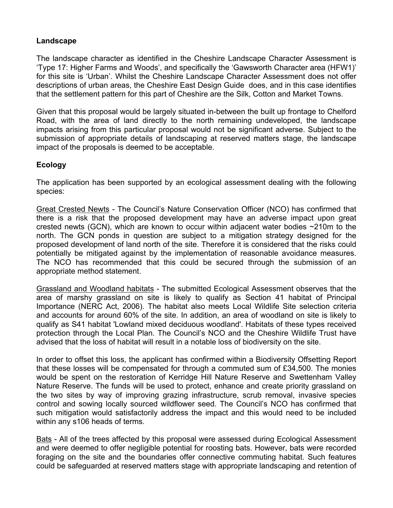## **Landscape**

The landscape character as identified in the Cheshire Landscape Character Assessment is 'Type 17: Higher Farms and Woods', and specifically the 'Gawsworth Character area (HFW1)' for this site is 'Urban'. Whilst the Cheshire Landscape Character Assessment does not offer descriptions of urban areas, the Cheshire East Design Guide does, and in this case identifies that the settlement pattern for this part of Cheshire are the Silk, Cotton and Market Towns.

Given that this proposal would be largely situated in-between the built up frontage to Chelford Road, with the area of land directly to the north remaining undeveloped, the landscape impacts arising from this particular proposal would not be significant adverse. Subject to the submission of appropriate details of landscaping at reserved matters stage, the landscape impact of the proposals is deemed to be acceptable.

## **Ecology**

The application has been supported by an ecological assessment dealing with the following species:

Great Crested Newts - The Council's Nature Conservation Officer (NCO) has confirmed that there is a risk that the proposed development may have an adverse impact upon great crested newts (GCN), which are known to occur within adjacent water bodies ~210m to the north. The GCN ponds in question are subject to a mitigation strategy designed for the proposed development of land north of the site. Therefore it is considered that the risks could potentially be mitigated against by the implementation of reasonable avoidance measures. The NCO has recommended that this could be secured through the submission of an appropriate method statement.

Grassland and Woodland habitats - The submitted Ecological Assessment observes that the area of marshy grassland on site is likely to qualify as Section 41 habitat of Principal Importance (NERC Act, 2006). The habitat also meets Local Wildlife Site selection criteria and accounts for around 60% of the site. In addition, an area of woodland on site is likely to qualify as S41 habitat 'Lowland mixed deciduous woodland'. Habitats of these types received protection through the Local Plan. The Council's NCO and the Cheshire Wildlife Trust have advised that the loss of habitat will result in a notable loss of biodiversity on the site.

In order to offset this loss, the applicant has confirmed within a Biodiversity Offsetting Report that these losses will be compensated for through a commuted sum of £34,500. The monies would be spent on the restoration of Kerridge Hill Nature Reserve and Swettenham Valley Nature Reserve. The funds will be used to protect, enhance and create priority grassland on the two sites by way of improving grazing infrastructure, scrub removal, invasive species control and sowing locally sourced wildflower seed. The Council's NCO has confirmed that such mitigation would satisfactorily address the impact and this would need to be included within any s106 heads of terms.

Bats - All of the trees affected by this proposal were assessed during Ecological Assessment and were deemed to offer negligible potential for roosting bats. However, bats were recorded foraging on the site and the boundaries offer connective commuting habitat. Such features could be safeguarded at reserved matters stage with appropriate landscaping and retention of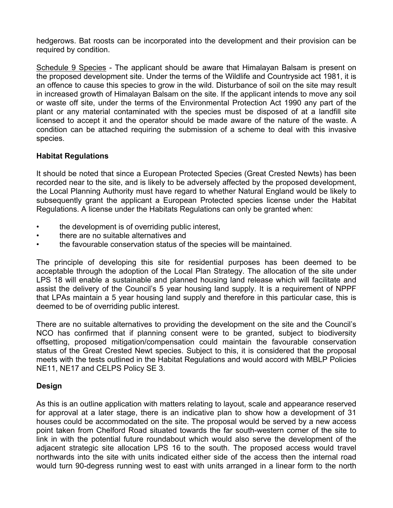hedgerows. Bat roosts can be incorporated into the development and their provision can be required by condition.

Schedule 9 Species - The applicant should be aware that Himalayan Balsam is present on the proposed development site. Under the terms of the Wildlife and Countryside act 1981, it is an offence to cause this species to grow in the wild. Disturbance of soil on the site may result in increased growth of Himalayan Balsam on the site. If the applicant intends to move any soil or waste off site, under the terms of the Environmental Protection Act 1990 any part of the plant or any material contaminated with the species must be disposed of at a landfill site licensed to accept it and the operator should be made aware of the nature of the waste. A condition can be attached requiring the submission of a scheme to deal with this invasive species.

## **Habitat Regulations**

It should be noted that since a European Protected Species (Great Crested Newts) has been recorded near to the site, and is likely to be adversely affected by the proposed development, the Local Planning Authority must have regard to whether Natural England would be likely to subsequently grant the applicant a European Protected species license under the Habitat Regulations. A license under the Habitats Regulations can only be granted when:

- the development is of overriding public interest,
- there are no suitable alternatives and
- the favourable conservation status of the species will be maintained.

The principle of developing this site for residential purposes has been deemed to be acceptable through the adoption of the Local Plan Strategy. The allocation of the site under LPS 18 will enable a sustainable and planned housing land release which will facilitate and assist the delivery of the Council's 5 year housing land supply. It is a requirement of NPPF that LPAs maintain a 5 year housing land supply and therefore in this particular case, this is deemed to be of overriding public interest.

There are no suitable alternatives to providing the development on the site and the Council's NCO has confirmed that if planning consent were to be granted, subject to biodiversity offsetting, proposed mitigation/compensation could maintain the favourable conservation status of the Great Crested Newt species. Subject to this, it is considered that the proposal meets with the tests outlined in the Habitat Regulations and would accord with MBLP Policies NE11, NE17 and CELPS Policy SE 3.

# **Design**

As this is an outline application with matters relating to layout, scale and appearance reserved for approval at a later stage, there is an indicative plan to show how a development of 31 houses could be accommodated on the site. The proposal would be served by a new access point taken from Chelford Road situated towards the far south-western corner of the site to link in with the potential future roundabout which would also serve the development of the adjacent strategic site allocation LPS 16 to the south. The proposed access would travel northwards into the site with units indicated either side of the access then the internal road would turn 90-degress running west to east with units arranged in a linear form to the north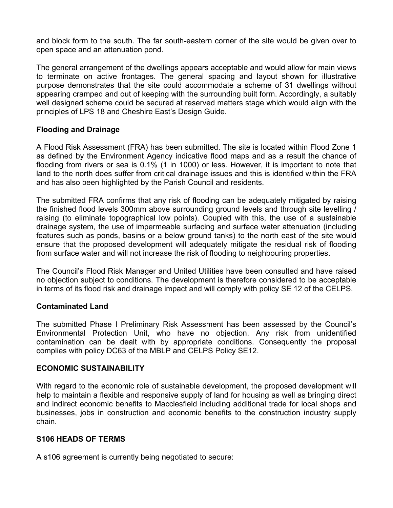and block form to the south. The far south-eastern corner of the site would be given over to open space and an attenuation pond.

The general arrangement of the dwellings appears acceptable and would allow for main views to terminate on active frontages. The general spacing and layout shown for illustrative purpose demonstrates that the site could accommodate a scheme of 31 dwellings without appearing cramped and out of keeping with the surrounding built form. Accordingly, a suitably well designed scheme could be secured at reserved matters stage which would align with the principles of LPS 18 and Cheshire East's Design Guide.

## **Flooding and Drainage**

A Flood Risk Assessment (FRA) has been submitted. The site is located within Flood Zone 1 as defined by the Environment Agency indicative flood maps and as a result the chance of flooding from rivers or sea is 0.1% (1 in 1000) or less. However, it is important to note that land to the north does suffer from critical drainage issues and this is identified within the FRA and has also been highlighted by the Parish Council and residents.

The submitted FRA confirms that any risk of flooding can be adequately mitigated by raising the finished flood levels 300mm above surrounding ground levels and through site levelling / raising (to eliminate topographical low points). Coupled with this, the use of a sustainable drainage system, the use of impermeable surfacing and surface water attenuation (including features such as ponds, basins or a below ground tanks) to the north east of the site would ensure that the proposed development will adequately mitigate the residual risk of flooding from surface water and will not increase the risk of flooding to neighbouring properties.

The Council's Flood Risk Manager and United Utilities have been consulted and have raised no objection subject to conditions. The development is therefore considered to be acceptable in terms of its flood risk and drainage impact and will comply with policy SE 12 of the CELPS.

## **Contaminated Land**

The submitted Phase I Preliminary Risk Assessment has been assessed by the Council's Environmental Protection Unit, who have no objection. Any risk from unidentified contamination can be dealt with by appropriate conditions. Consequently the proposal complies with policy DC63 of the MBLP and CELPS Policy SE12.

## **ECONOMIC SUSTAINABILITY**

With regard to the economic role of sustainable development, the proposed development will help to maintain a flexible and responsive supply of land for housing as well as bringing direct and indirect economic benefits to Macclesfield including additional trade for local shops and businesses, jobs in construction and economic benefits to the construction industry supply chain.

## **S106 HEADS OF TERMS**

A s106 agreement is currently being negotiated to secure: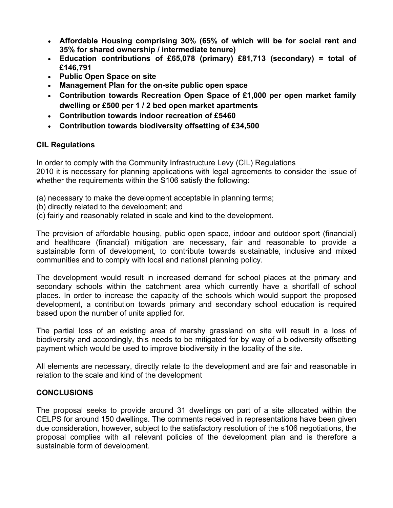- **Affordable Housing comprising 30% (65% of which will be for social rent and 35% for shared ownership / intermediate tenure)**
- **Education contributions of £65,078 (primary) £81,713 (secondary) = total of £146,791**
- **Public Open Space on site**
- **Management Plan for the on-site public open space**
- **Contribution towards Recreation Open Space of £1,000 per open market family dwelling or £500 per 1 / 2 bed open market apartments**
- **Contribution towards indoor recreation of £5460**
- **Contribution towards biodiversity offsetting of £34,500**

## **CIL Regulations**

In order to comply with the Community Infrastructure Levy (CIL) Regulations 2010 it is necessary for planning applications with legal agreements to consider the issue of whether the requirements within the S106 satisfy the following:

- (a) necessary to make the development acceptable in planning terms;
- (b) directly related to the development; and
- (c) fairly and reasonably related in scale and kind to the development.

The provision of affordable housing, public open space, indoor and outdoor sport (financial) and healthcare (financial) mitigation are necessary, fair and reasonable to provide a sustainable form of development, to contribute towards sustainable, inclusive and mixed communities and to comply with local and national planning policy.

The development would result in increased demand for school places at the primary and secondary schools within the catchment area which currently have a shortfall of school places. In order to increase the capacity of the schools which would support the proposed development, a contribution towards primary and secondary school education is required based upon the number of units applied for.

The partial loss of an existing area of marshy grassland on site will result in a loss of biodiversity and accordingly, this needs to be mitigated for by way of a biodiversity offsetting payment which would be used to improve biodiversity in the locality of the site.

All elements are necessary, directly relate to the development and are fair and reasonable in relation to the scale and kind of the development

## **CONCLUSIONS**

The proposal seeks to provide around 31 dwellings on part of a site allocated within the CELPS for around 150 dwellings. The comments received in representations have been given due consideration, however, subject to the satisfactory resolution of the s106 negotiations, the proposal complies with all relevant policies of the development plan and is therefore a sustainable form of development.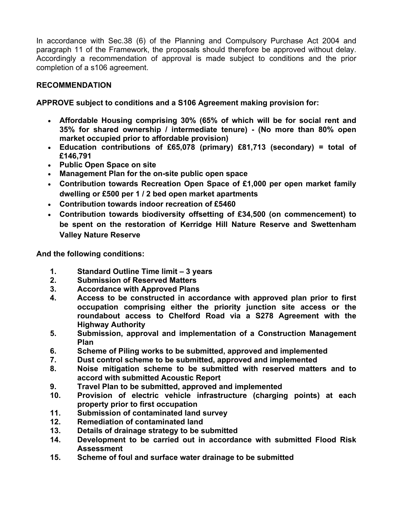In accordance with Sec.38 (6) of the Planning and Compulsory Purchase Act 2004 and paragraph 11 of the Framework, the proposals should therefore be approved without delay. Accordingly a recommendation of approval is made subject to conditions and the prior completion of a s106 agreement.

# **RECOMMENDATION**

# **APPROVE subject to conditions and a S106 Agreement making provision for:**

- **Affordable Housing comprising 30% (65% of which will be for social rent and 35% for shared ownership / intermediate tenure) - (No more than 80% open market occupied prior to affordable provision)**
- **Education contributions of £65,078 (primary) £81,713 (secondary) = total of £146,791**
- **Public Open Space on site**
- **Management Plan for the on-site public open space**
- **Contribution towards Recreation Open Space of £1,000 per open market family dwelling or £500 per 1 / 2 bed open market apartments**
- **Contribution towards indoor recreation of £5460**
- **Contribution towards biodiversity offsetting of £34,500 (on commencement) to be spent on the restoration of Kerridge Hill Nature Reserve and Swettenham Valley Nature Reserve**

**And the following conditions:**

- **1. Standard Outline Time limit – 3 years**
- **2. Submission of Reserved Matters**
- **3. Accordance with Approved Plans**
- **4. Access to be constructed in accordance with approved plan prior to first occupation comprising either the priority junction site access or the roundabout access to Chelford Road via a S278 Agreement with the Highway Authority**
- **5. Submission, approval and implementation of a Construction Management Plan**
- **6. Scheme of Piling works to be submitted, approved and implemented**
- **7. Dust control scheme to be submitted, approved and implemented**
- **8. Noise mitigation scheme to be submitted with reserved matters and to accord with submitted Acoustic Report**
- **9. Travel Plan to be submitted, approved and implemented**
- **10. Provision of electric vehicle infrastructure (charging points) at each property prior to first occupation**
- **11. Submission of contaminated land survey**
- **12. Remediation of contaminated land**
- **13. Details of drainage strategy to be submitted**
- **14. Development to be carried out in accordance with submitted Flood Risk Assessment**
- **15. Scheme of foul and surface water drainage to be submitted**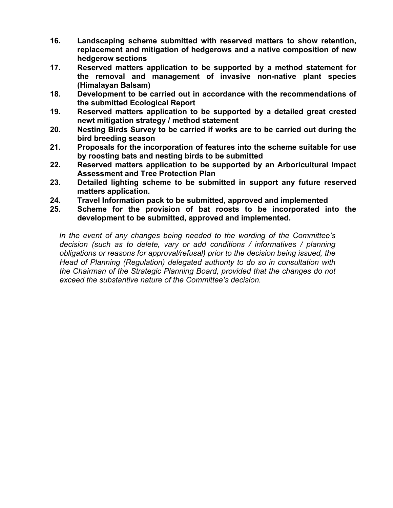- **16. Landscaping scheme submitted with reserved matters to show retention, replacement and mitigation of hedgerows and a native composition of new hedgerow sections**
- **17. Reserved matters application to be supported by a method statement for the removal and management of invasive non-native plant species (Himalayan Balsam)**
- **18. Development to be carried out in accordance with the recommendations of the submitted Ecological Report**
- **19. Reserved matters application to be supported by a detailed great crested newt mitigation strategy / method statement**
- **20. Nesting Birds Survey to be carried if works are to be carried out during the bird breeding season**
- **21. Proposals for the incorporation of features into the scheme suitable for use by roosting bats and nesting birds to be submitted**
- **22. Reserved matters application to be supported by an Arboricultural Impact Assessment and Tree Protection Plan**
- **23. Detailed lighting scheme to be submitted in support any future reserved matters application.**
- **24. Travel Information pack to be submitted, approved and implemented**
- **25. Scheme for the provision of bat roosts to be incorporated into the development to be submitted, approved and implemented.**

*In the event of any changes being needed to the wording of the Committee's decision (such as to delete, vary or add conditions / informatives / planning obligations or reasons for approval/refusal) prior to the decision being issued, the Head of Planning (Regulation) delegated authority to do so in consultation with the Chairman of the Strategic Planning Board, provided that the changes do not exceed the substantive nature of the Committee's decision.*